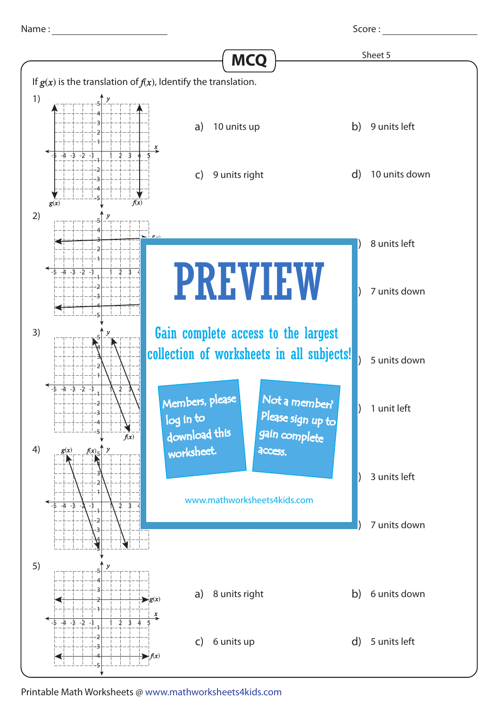